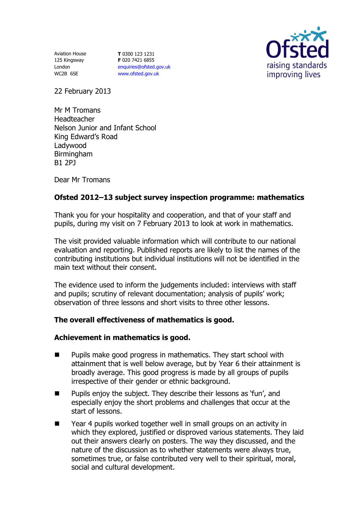Aviation House 125 Kingsway London WC2B 6SE

**T** 0300 123 1231 **F** 020 7421 6855 [enquiries@ofsted.gov.uk](mailto:enquiries@ofsted.gov.uk) [www.ofsted.gov.uk](http://www.ofsted.gov.uk/)



22 February 2013

Mr M Tromans Headteacher Nelson Junior and Infant School King Edward's Road Ladywood Birmingham B1 2PJ

Dear Mr Tromans

# **Ofsted 2012–13 subject survey inspection programme: mathematics**

Thank you for your hospitality and cooperation, and that of your staff and pupils, during my visit on 7 February 2013 to look at work in mathematics.

The visit provided valuable information which will contribute to our national evaluation and reporting. Published reports are likely to list the names of the contributing institutions but individual institutions will not be identified in the main text without their consent.

The evidence used to inform the judgements included: interviews with staff and pupils; scrutiny of relevant documentation; analysis of pupils' work; observation of three lessons and short visits to three other lessons.

## **The overall effectiveness of mathematics is good.**

#### **Achievement in mathematics is good.**

- **Pupils make good progress in mathematics. They start school with** attainment that is well below average, but by Year 6 their attainment is broadly average. This good progress is made by all groups of pupils irrespective of their gender or ethnic background.
- $\blacksquare$  Pupils enjoy the subject. They describe their lessons as 'fun', and especially enjoy the short problems and challenges that occur at the start of lessons.
- Year 4 pupils worked together well in small groups on an activity in which they explored, justified or disproved various statements. They laid out their answers clearly on posters. The way they discussed, and the nature of the discussion as to whether statements were always true, sometimes true, or false contributed very well to their spiritual, moral, social and cultural development.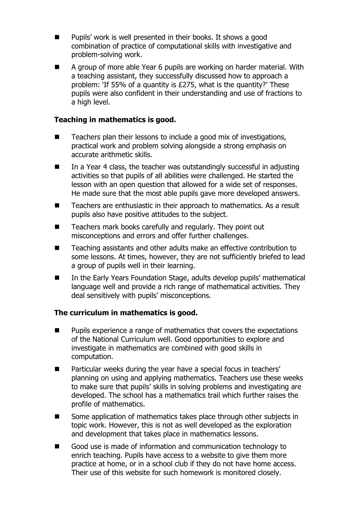- $\blacksquare$  Pupils' work is well presented in their books. It shows a good combination of practice of computational skills with investigative and problem-solving work.
- A group of more able Year 6 pupils are working on harder material. With a teaching assistant, they successfully discussed how to approach a problem: 'If 55% of a quantity is £275, what is the quantity?' These pupils were also confident in their understanding and use of fractions to a high level.

# **Teaching in mathematics is good.**

- Teachers plan their lessons to include a good mix of investigations, practical work and problem solving alongside a strong emphasis on accurate arithmetic skills.
- $\blacksquare$  In a Year 4 class, the teacher was outstandingly successful in adjusting activities so that pupils of all abilities were challenged. He started the lesson with an open question that allowed for a wide set of responses. He made sure that the most able pupils gave more developed answers.
- Teachers are enthusiastic in their approach to mathematics. As a result pupils also have positive attitudes to the subject.
- Teachers mark books carefully and regularly. They point out misconceptions and errors and offer further challenges.
- Teaching assistants and other adults make an effective contribution to some lessons. At times, however, they are not sufficiently briefed to lead a group of pupils well in their learning.
- In the Early Years Foundation Stage, adults develop pupils' mathematical language well and provide a rich range of mathematical activities. They deal sensitively with pupils' misconceptions.

## **The curriculum in mathematics is good.**

- Pupils experience a range of mathematics that covers the expectations of the National Curriculum well. Good opportunities to explore and investigate in mathematics are combined with good skills in computation.
- Particular weeks during the year have a special focus in teachers' planning on using and applying mathematics. Teachers use these weeks to make sure that pupils' skills in solving problems and investigating are developed. The school has a mathematics trail which further raises the profile of mathematics.
- Some application of mathematics takes place through other subjects in topic work. However, this is not as well developed as the exploration and development that takes place in mathematics lessons.
- Good use is made of information and communication technology to enrich teaching. Pupils have access to a website to give them more practice at home, or in a school club if they do not have home access. Their use of this website for such homework is monitored closely.